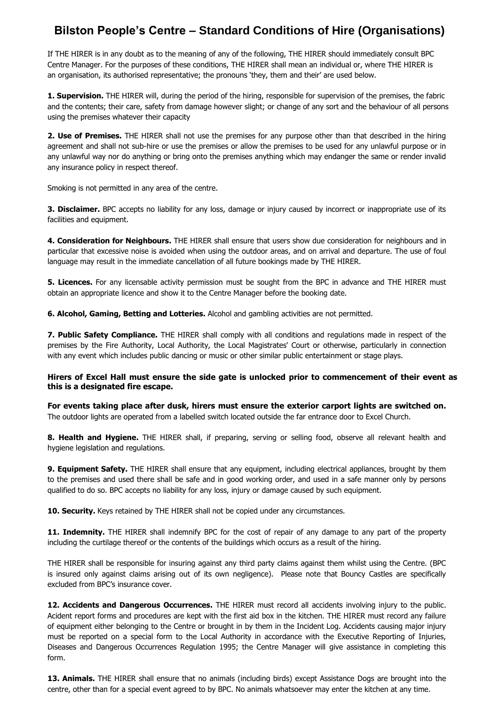## **Bilston People's Centre – Standard Conditions of Hire (Organisations)**

If THE HIRER is in any doubt as to the meaning of any of the following, THE HIRER should immediately consult BPC Centre Manager. For the purposes of these conditions, THE HIRER shall mean an individual or, where THE HIRER is an organisation, its authorised representative; the pronouns 'they, them and their' are used below.

**1. Supervision.** THE HIRER will, during the period of the hiring, responsible for supervision of the premises, the fabric and the contents; their care, safety from damage however slight; or change of any sort and the behaviour of all persons using the premises whatever their capacity

**2. Use of Premises.** THE HIRER shall not use the premises for any purpose other than that described in the hiring agreement and shall not sub-hire or use the premises or allow the premises to be used for any unlawful purpose or in any unlawful way nor do anything or bring onto the premises anything which may endanger the same or render invalid any insurance policy in respect thereof.

Smoking is not permitted in any area of the centre.

**3. Disclaimer.** BPC accepts no liability for any loss, damage or injury caused by incorrect or inappropriate use of its facilities and equipment.

**4. Consideration for Neighbours.** THE HIRER shall ensure that users show due consideration for neighbours and in particular that excessive noise is avoided when using the outdoor areas, and on arrival and departure. The use of foul language may result in the immediate cancellation of all future bookings made by THE HIRER.

**5. Licences.** For any licensable activity permission must be sought from the BPC in advance and THE HIRER must obtain an appropriate licence and show it to the Centre Manager before the booking date.

**6. Alcohol, Gaming, Betting and Lotteries.** Alcohol and gambling activities are not permitted.

**7. Public Safety Compliance.** THE HIRER shall comply with all conditions and regulations made in respect of the premises by the Fire Authority, Local Authority, the Local Magistrates' Court or otherwise, particularly in connection with any event which includes public dancing or music or other similar public entertainment or stage plays.

## **Hirers of Excel Hall must ensure the side gate is unlocked prior to commencement of their event as this is a designated fire escape.**

**For events taking place after dusk, hirers must ensure the exterior carport lights are switched on.**  The outdoor lights are operated from a labelled switch located outside the far entrance door to Excel Church.

**8. Health and Hygiene.** THE HIRER shall, if preparing, serving or selling food, observe all relevant health and hygiene legislation and regulations.

**9. Equipment Safety.** THE HIRER shall ensure that any equipment, including electrical appliances, brought by them to the premises and used there shall be safe and in good working order, and used in a safe manner only by persons qualified to do so. BPC accepts no liability for any loss, injury or damage caused by such equipment.

**10. Security.** Keys retained by THE HIRER shall not be copied under any circumstances.

**11. Indemnity.** THE HIRER shall indemnify BPC for the cost of repair of any damage to any part of the property including the curtilage thereof or the contents of the buildings which occurs as a result of the hiring.

THE HIRER shall be responsible for insuring against any third party claims against them whilst using the Centre. (BPC is insured only against claims arising out of its own negligence). Please note that Bouncy Castles are specifically excluded from BPC's insurance cover.

**12. Accidents and Dangerous Occurrences.** THE HIRER must record all accidents involving injury to the public. Acident report forms and procedures are kept with the first aid box in the kitchen. THE HIRER must record any failure of equipment either belonging to the Centre or brought in by them in the Incident Log. Accidents causing major injury must be reported on a special form to the Local Authority in accordance with the Executive Reporting of Injuries, Diseases and Dangerous Occurrences Regulation 1995; the Centre Manager will give assistance in completing this form.

**13. Animals.** THE HIRER shall ensure that no animals (including birds) except Assistance Dogs are brought into the centre, other than for a special event agreed to by BPC. No animals whatsoever may enter the kitchen at any time.